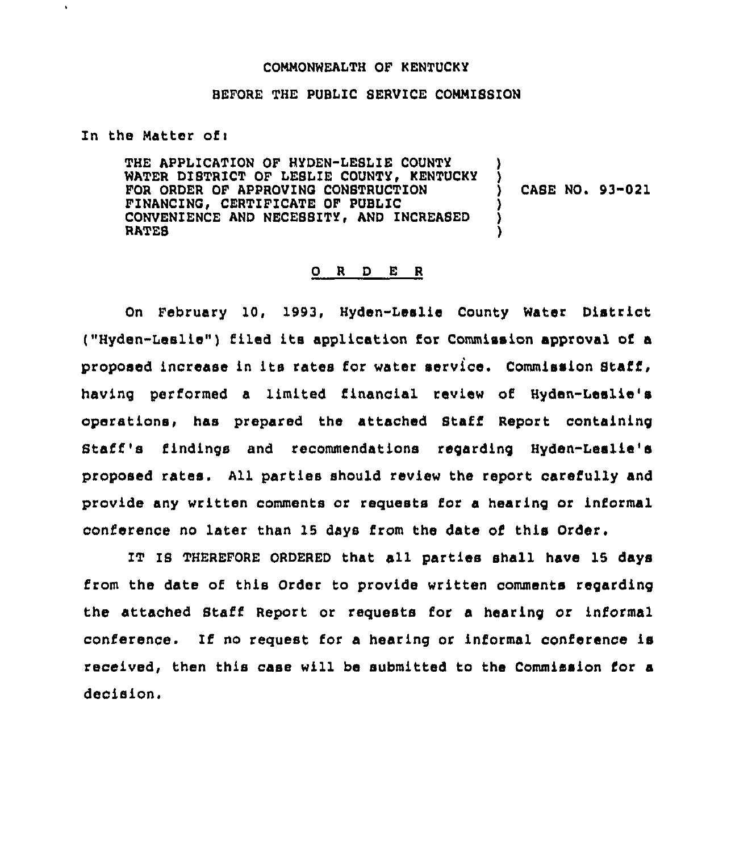#### COMMONWEALTH OF KENTUCKY

#### BEFORE THE PUBLIC SERVICE COMMISSION

In the Matter of <sup>i</sup>

 $\bullet$ 

THE APPLICATION OF HYDEN-LEBLIE COUNTY WATER DISTRICT OF LESLIE COUNTY, KENTUCKY FOR ORDER OF APPROVINO CONSTRUCTION FINANCINC, CERTIFICATE OF PUBLIC CONVENIENCE AND NECESSITY, AND INCREASED RATES ) ) ) CASE NO. 93-021 ) ) )

#### 0 <sup>R</sup> <sup>D</sup> E <sup>R</sup>

On February 10, 1993, Hyden-Leslie County Water District ("Hyden-Lealie") filed its application for Commission approval of a proposed increase in its rates for water service. Commission Staff, having performed a limited financial review of Hyden-Leslie's operations" has prepared the attached Staff Report containing Staff's findings and recommendations regarding Hyden-Leslie's proposed rates. All parties should review the report carefully and provide any written comments or requests for a hearing or informal conference no later than 15 days from the date of this Order.

IT IS THEREFORE ORDERED that all parties shall have 15 days from the date of this Order to provide written comments regarding the attached Staff Report or requests for a hearing or informal conference. If no request for a hearing or informal conference is received, then this case will be submitted to the Commission for a decision.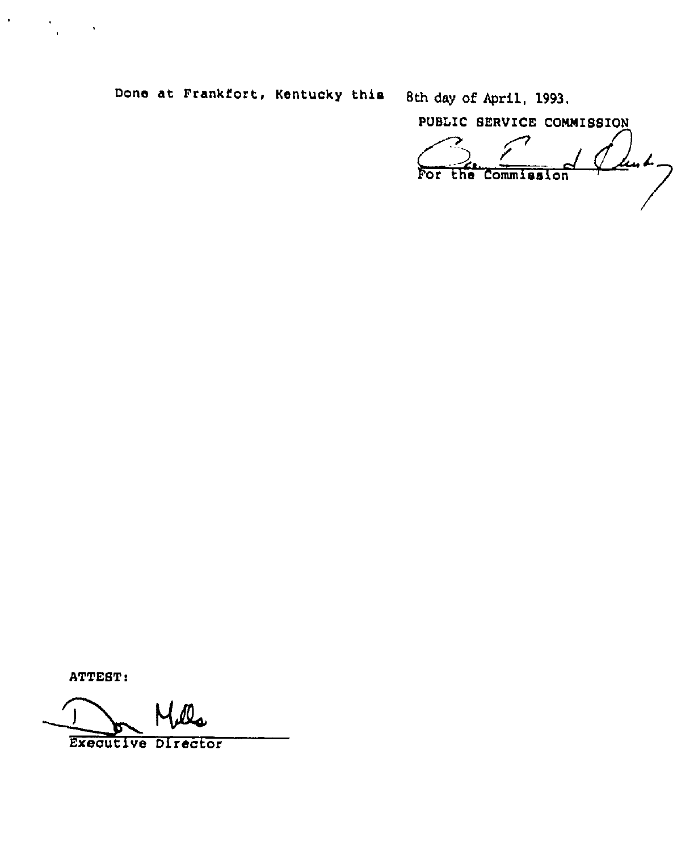Done at Frankfort, Kentucky this 8th day of April, 1993,

PUBLIC BERVICE CONNIBBION Junk- $^{\prime}$  O For the Commission

ATTEST:

 $\langle \rangle$ 

 $\sim 100$ 

Executive Director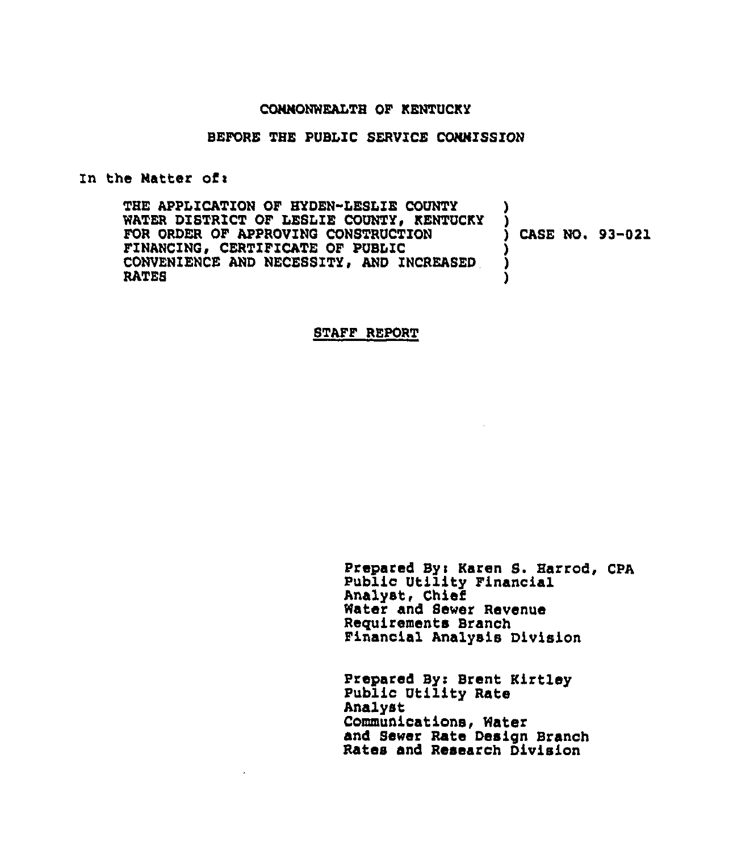#### CONNONWEALTH OF KENTUCKY

#### BEFORE THE PUBLIC SERVICE CONNISSZON

#### In the Natter of:

THE APPLICATION OF HYDEN-LESLIE COUNTY WATER DISTRICT OF LESLIE COUNTY, KENTUCKY FOR ORDER OF APPROVING CONSTRUCTION FINANCING, CERTIFICATE OF PUBLIC CONVENIENCE AND NECESSITY, AND INCREASED RATES ) ) ) CASE NO. 93-021 ) ) )

#### STAFF REPORT

Prepared Byi Karen S. Harrod, CPA Public Utility Financial Analyst, Chief Water and Sewer Revenue Reguirements Branch Financial Analysis Division

Prepared By: Brent Kirtley Public Utility Rate Analyst Communications, Water and Sewer Rate Design Branch Rates and Research Division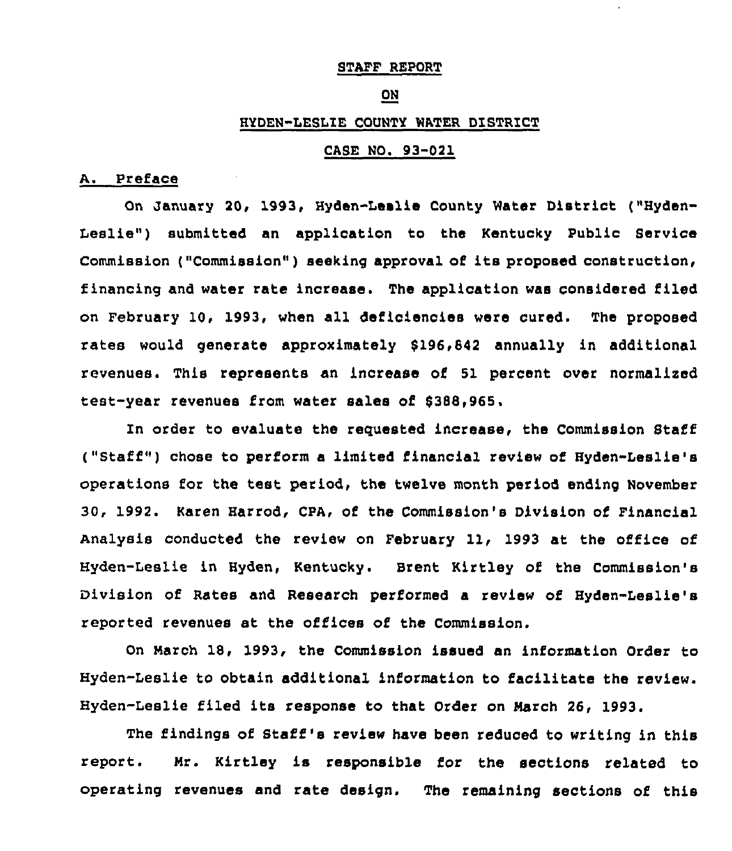# STAFF REPORT

#### ON

# HYDEN-LESLIE COUNTY WATER DISTRICT

# CASE NO. 93-021

# A. Preface

On January 20, 1993, Hyden-Leslie County Water District ("Hyden-Leslie") submitted an application to the Kentucky Public Service Commission ("Commission" ) seeking approval of its proposed construction, financing and water rate increase. The application was considered filed on February 10, 1993, when all deficiencies were cured. The proposed rates would generate approximateiy 8196,842 annually in additional revenues. This represents an increase of 51 percent over normallred test-year revenues from water sales of 8388,965.

In order to evaluate the reguested increase, the Commission Staff ("Staff" ) chose to perform <sup>a</sup> limited financial review of Hyden-Leslie's operations for the teat period, the twelve month period ending November 30, 1992. Karen Harrod, CPA, of the Commission's Division of Financial Analysis conducted the review on February 11, 1993 at the office of Hyden-Leslie in Hyden, Kentucky. Brent Kirtley of the Commission's Division of Rates and Research performed a review of Hyden-Leslie's reported revenues at the offices of the Commission.

On March 18, 1993, the Commission issued an information Order to Hyden-Leslie to obtain additional information to facilitate the review. Hyden-Leslie filed its response to that Order on March 26, 1993.

The findings of Staff's review have been reduced to writing in this report. Mr. Kirtley is responsible for the sections related to operating revenues and rate design. The remaining sections of this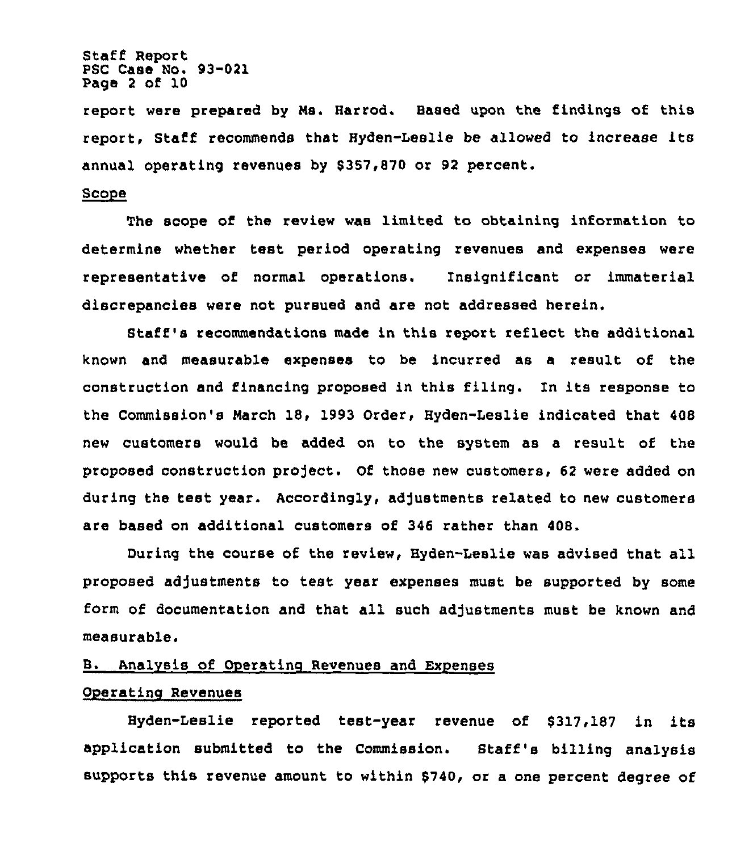Staff Report PSC Case No. 93-021 Page <sup>2</sup> of 10

report were prepared by Ns. Harrod. Based upon the findings of this report, Staff recommends that Hyden-Leslie be allowed to increase its annual operating revenues by \$357,870 or 92 percent.

## Scope

The scope of the review was limited to obtaining information to determine whether test period operating revenues and expenses were representative of normal operations. Insignificant or immaterial discrepancies were not pursued and are not addressed herein.

Staff 's recommendations made in this report reflect the additional known and measurable expenses to be incurred as a result of the construction and financing proposed in this filing. In its response to the Commission's Narch 18, 1993 Order, Hyden-Leslie indicated that 408 new customers would be added on to the system as a result of the proposed construction pro)ect. Of those new customers, 62 were added on during the test year. Accordingly, adjustments related to new customers are based on additional customers of 346 rather than 408.

During the course of the review, Hyden-Leslie was advised that all proposed ad]ustments to test year expenses must be supported by some form of documentation and that all such adjustments must be known and measurable.

# B. Analysis of Operating Revenues and Expenses

# Operating Revenues

Hyden-Leslie reported test-year revenue of \$317,187 in its application submitted to the Commission. Staff's billing analysis supports this revenue amount to within \$740, or a one percent degree of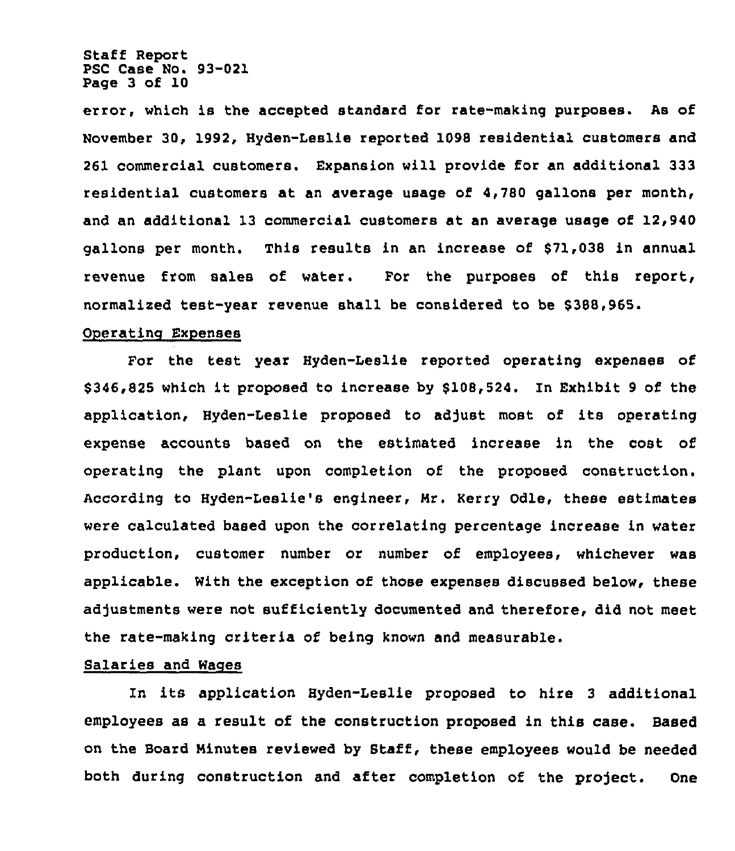Staff Report PSC Case No. 93-021 Page 3 of 10

error, which is the accepted standard for rate-making purposes. As of November 30, 1992, Hyden-Leslie reported 1098 residential customers and 261 commercial customers. Expansion will provide for an additional 333 residential customers at an average usage of 4,780 gallons per month, and an additional 13 commercial customers at an average usage of 12,940 gallons per month. This results in an increase of \$71,038 in annual revenue from sales of water. For the purposes of this report, normalized test-year revenue shall be considered to be \$ 388,965.

#### Operating Expenses

For the test year Hyden-Leslie reported operating expenses of \$346,825 which it proposed to increase by \$108,524. In Exhibit <sup>9</sup> of the application, Hyden-Leslie proposed to adjust most of its operating expense accounts based on the estimated increase in the cost of operating the plant upon completion of the proposed construction. According to Hyden-Leslie's engineer, Hr. Kerry Odle, these estimates were calculated based upon the correlating percentage increase in water production, customer number or number of employees, whichever was applicable. With the exception of those expenses discussed below, these adjustments were not sutficiently documented and therefore, did not meet the rate-making criteria of being known and measurable.

## Salaries and Wages

In its application Hyden-Leslie proposed to hire <sup>3</sup> additional employees as a result of the construction proposed in this case. Eased on the Board Ninutes reviewed by Staff, these employees would be needed both during construction and after completion of the project. One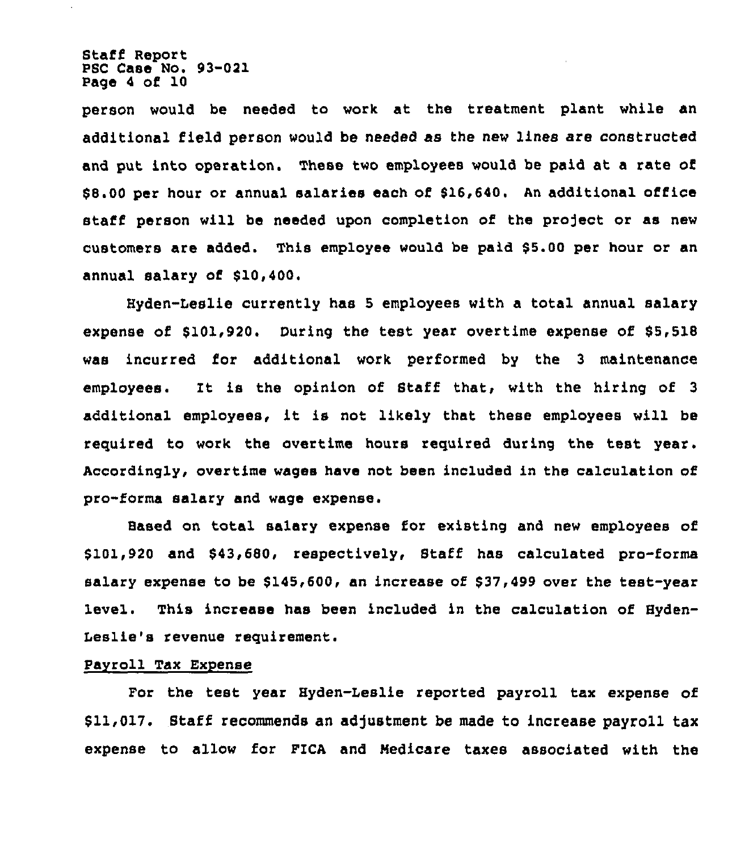Staff Report PSC Case No. 93-021 Page <sup>4</sup> of 10

person would be needed to work at the treatment plant while an additional field person would be needed as the new lines are constructed and put into operation. These two employees would be paid at a rate of \$ 8.00 per hour or annual salaries each of \$16,640. An additional office staff person will be needed upon completion of the project or as new customers are added. This employee would be paid \$5.00 per hour or an annual salary of \$10,400.

Hyden-Leslie currently has 5 employees with a total annual salary expense of \$101,920. During the test year overtime expense of \$5,518 was incurred for additional work performed by the 3 maintenance employees. It is the opinion of Staff that< with the hiring of <sup>3</sup> additional employees, it is not likely that these employees will be required to work the overtime hours required during the test year. Accordingly, overtime wages have not been included in the calculation of pro-forma salary and wage expense.

Based on total salary expense for existing and new employees of \$101,920 and \$43,680, respectively, Staff has calculated pro-forma salary expense to be \$145,600, an increase of \$37,499 over the test-year level. This increase has been included in the calculation of Hyden-Leslie's revenue requirement.

#### Payroll Tax Expense

For the test year Hyden-Leslie reported payroll tax expense of \$11,017. Staff recommends an adjustment be made to increase payroll tax expense to allow for FICA and Hedicare taxes associated with the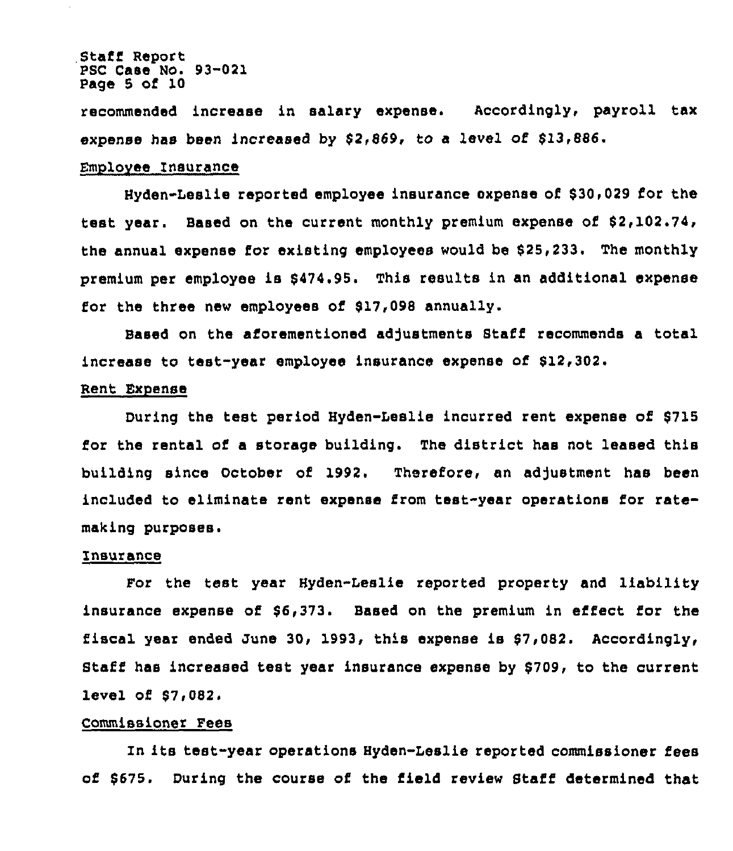#### Staff Report PSC Case No. 93-021 Page 5 of 10

recommended increase in salary expense. Accordingly, payroll tax expense has been increased by \$2,869, to a level of \$13,886.

## Emplovee Insurance

Hyden-Leslie reported employee insurance expense of \$30,029 for the test year. Based on the current monthly premium expense of \$2,102.74, the annual expense for existing employees would be \$25,233. The monthly premium per employee is \$474.95. This results in an additional expense for the three new employees of \$17,098 annually.

Based on the aforementioned adjustments Staff recommends a total increase to test-year employee insurance expense of \$12,302.

## Rent Expense

During the test period Hyden-Leslie incurred rent expense of \$715 for the rental of a storage building. The district has not leased this building since October of 1992. Therefore, an adjustment has been included to eliminate rent expense from test-year operations for ratemaking purposes.

#### Insurance

For the test year Hyden-Leslie reported property and liability insurance expense of \$6,373. Based on the premium in effect for the fiscal year ended June 30, 1993, this expense is \$7,082. Accordingly, Staff has increased test year insurance expense by \$709, to the current level of \$7,082.

## Commissioner Fees

In its test-year operations Hyden-Leslie reported commissioner fees of \$675. During the course of the field review Staff determined that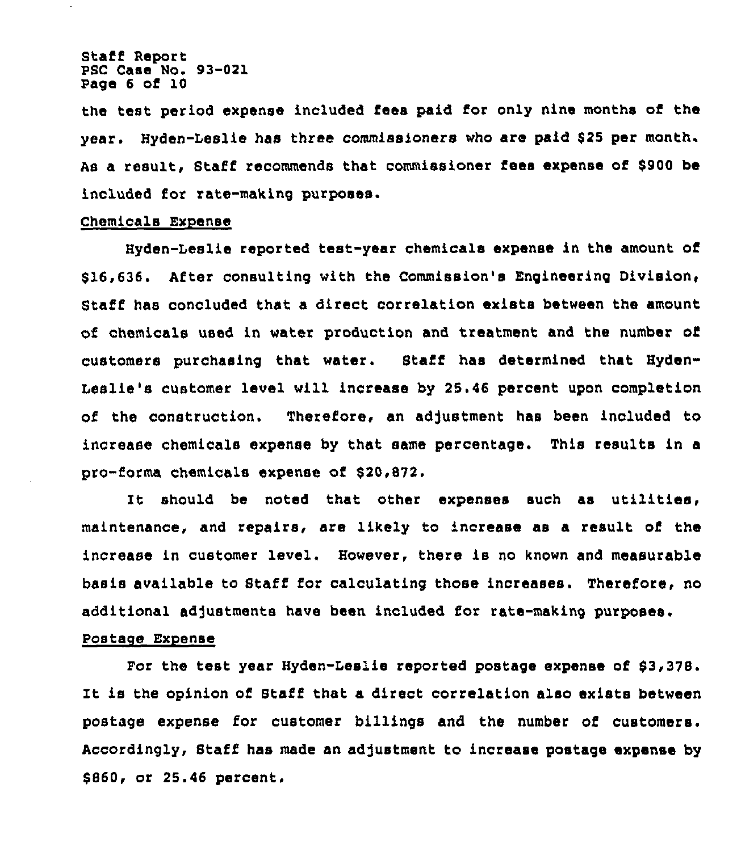Staff Report PSC Case No. 93-021 Page 6 of 10

the test period expense included fees paid for only nine months of the year. Hyden-Leslie has three commissioners who are paid \$25 per month. As a result, Staff recommends that commissioner fees expense of \$900 be included for rate-making purposes.

## Chemicals Expense

Hyden-Leslie reported test-year chemicals expense in the amount of \$16,636. After consulting with the Commission's Engineering Division, Staff has concluded that a direct correlation exists between the amount of chemicals used in water production and treatment and the number of customers purchasing that water. Staff has determined that Hyden-Leslie's customer level will increase by 25.46 percent upon completion of the construction. Therefore, an adjustment has been included to increase chemicals expense by that same percentage. This results in a pro-forms chemicals expense of 520,S72.

should be noted that other expenses such as utilities, maintenance, and repairs, are likely to increase as a result of the increase in customer level. However, there is no known and measurable basis available to Staff for calculating those increases. Therefore, no additional adjustments have been included for rate-making purposes. Postage Expense

For the test year Hyden-Leslie reported postage expense of 63,378. It is the opinion of Staff that a direct correlation also exists between postage expense for customer billings and the number of customers. Accordingly, Staff has made an adjustment to increase postage expense by \$ 860, or 25.46 percent,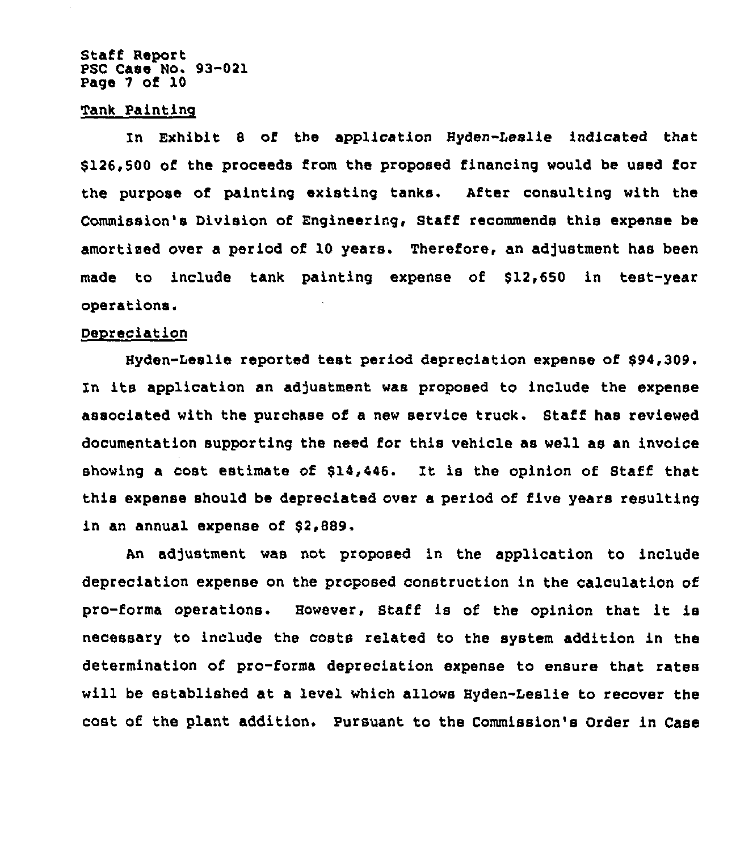### Staff Report PSC Case No. 93-021 Page 7 of 10

#### Tank Paintinq

In Exhibit 8 of the application Hyden-Leslie indicated that \$126,500 of the proceeds from the proposed financing would be used for the purpose of painting existing tanks. After consulting with the Commission's Division of Engineering, Staff recommends this expense be amortized over a period of 10 years. Therefore, an adjustment has been made to include tank painting expense of \$12,650 in test-year operations.

### Depreciation

Hyden-Leslie reported test period depreciation expense of \$94,309. In its application an adjustment was proposed to include the expense associated with the purchase of a new service truck. Staff has reviewed documentation supporting the need for this vehicle as well as an invoice showing <sup>a</sup> cost estimate of 814,446. It is the opinion of Staff that this expense should be depreciated over a period of five years resulting in an annual expense of \$2,889.

An adjustment was not proposed in the application to include depreciation expense on the proposed construction in the calculation of pro-forma operations. However, Staff is of the opinion that it is necessary to include the costs related to the system addition in the determination of pro-forms depreciation expense to ensure that rates will be established at a level which allows Hyden-Leslie to recover the cost of the plant addition. Pursuant to the Commission's Order in Case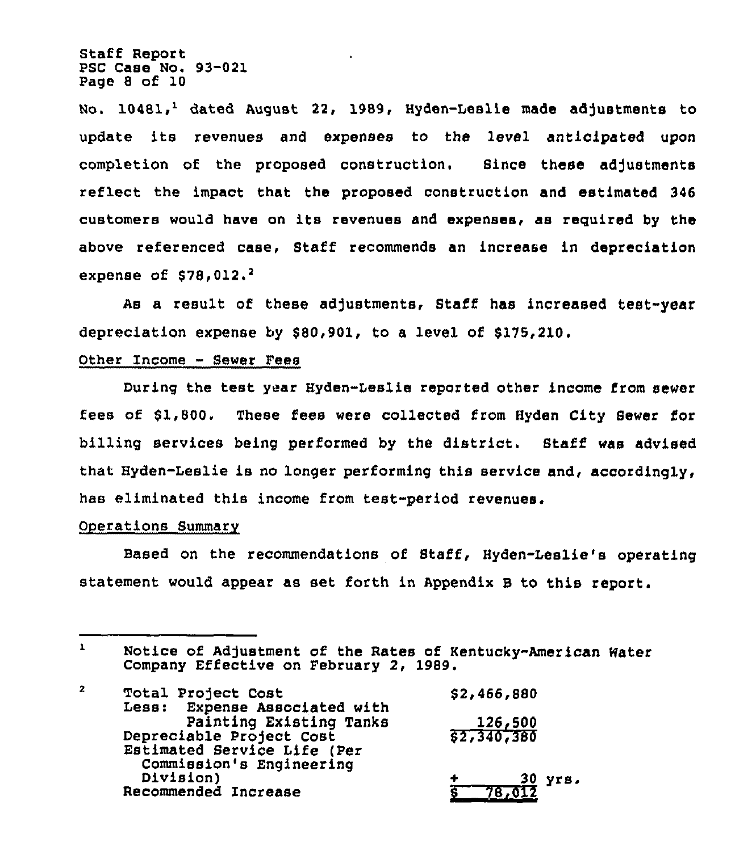Staff Report PSC Case No. 93-021 Page 8 of 10

No. 10481,<sup>1</sup> dated August 22, 1989, Hyden-Leslie made adjustments to update its revenues and expenses to the level anticipated upon completion of the proposed construction. Since these adjustments reflect the impact that the proposed construction and estimated 346 customers would have on its revenues and expenses, as required by the above referenced case, Staff recommends an increase in depreciation expense of  $$78,012.^2$ 

a result of these adjustments, Staff has increased test-year depreciation expense by \$80,901, to a level of 8175,210.

# Other Income - Sewer Fees

During the test year Hyden-Leslie reported other income from sewer fees of 81,800. These fees were collected from Hyden City 8ewer for billing services being performed by the district. Staff was advised that Hyden-Leslie is no longer performing this service and< accordingly, has eliminated this income from test-period revenues.

#### Operations Summary

Based on the recommendations of Staff, Hyden-Leslie's operating statement would appear as set forth in Appendix <sup>B</sup> to this report.

 $\mathbf{1}$ Notice of Adjustment of the Rates of Kentucky-American Water Company Effective on February 2, 1989.

| $\overline{z}$ | Total Project Cost            | \$2,466,880 |
|----------------|-------------------------------|-------------|
|                | Less: Expense Associated with |             |
|                | Painting Existing Tanks       | 126,500     |
|                | Depreciable Project Cost      | \$2,340,380 |
|                | Estimated Service Life (Per   |             |
|                | Commission's Engineering      |             |
|                | Division)                     | 30 yrs.     |
|                | Recommended Increase          |             |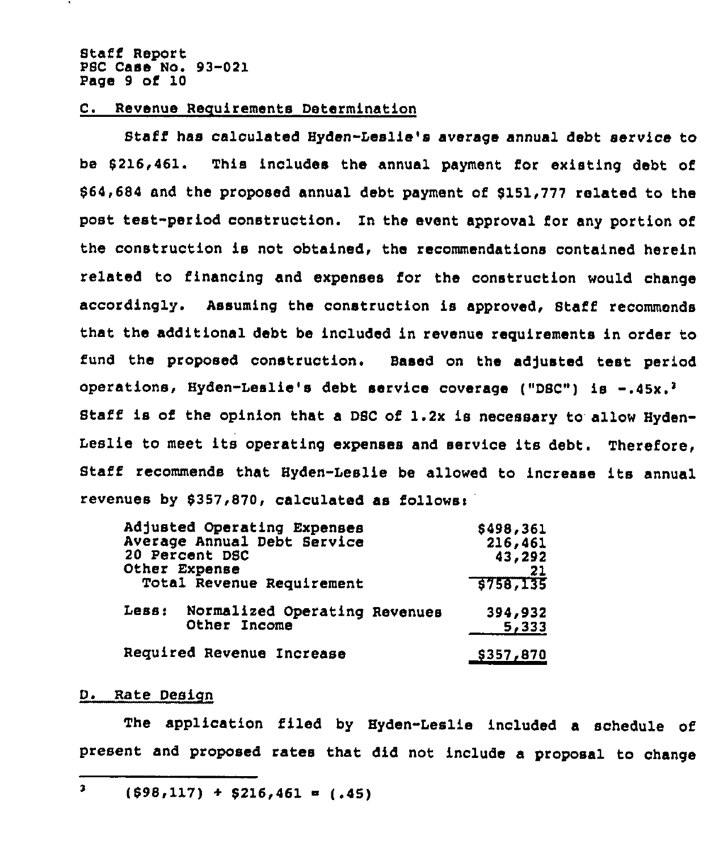Staff Report PBC Case No. 93-021 Page 9 of 10

# C. Revenue Requirements Determination

Stat'f has calculated Hyden-Leslie's average annual debt service to be 6216,461. This includes the annual payment for existing debt of 864,684 and the proposed annual debt payment of 8151,777 related to the post test-period construction. In the event approval for any portion of the construction is not obtained, the recommendations contained herein related to financing and expenses for the construction would change accordingly. Assuming the construction is approved, Staff recommends that the additional debt be included in revenue requirements in order to fund the proposed construction. Based on the adjusted test period operations, Hyden-Leslie's debt service coverage ("DBC") is Staff is of the opinion that a DSC of 1.2x is necessary to allow Hyden-Leslie to meet its operating expenses and service its debt. Therefore, Staff recommends that Hyden-Leslie be allowed to increase its annual revenues by \$357,870, calculated as follows:

| Adjusted Operating Expenses            | \$498,361        |
|----------------------------------------|------------------|
| Average Annual Debt Service            | 216,461          |
| 20 Percent DSC                         | 43,292           |
| Other Expense                          | -21              |
| Total Revenue Requirement              | \$758,135        |
| Less:<br>Normalized Operating Revenues | 394,932          |
| Other Income                           | 5,333            |
| Required Revenue Increase              | <u>\$357,870</u> |

#### D. Rate Design

The application filed by Hyden-Leslie included a schedule of present and proposed rates that did not include a proposal to change

 $\overline{\mathbf{3}}$  $(598,117) + 5216,461 = (.45)$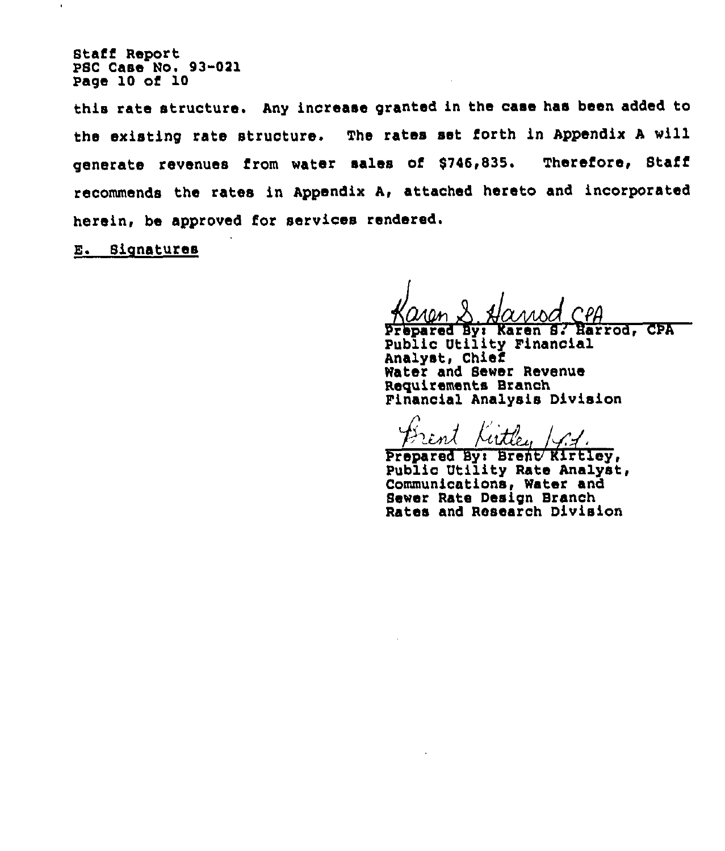Stafi Report PSC Case No. 93-021 Page 10 of 10

 $\bullet$ 

this rate structure. Any increase granted in the case has been added to the existing rate structure. The rates set forth in Appendix <sup>A</sup> will generate revenues from water sales of \$746,835. Thereiore, Staff recommends the rates in Appendix A, attached hereto and incorporated herein, be approved for services rendered.

E. Signatures

Prepared Byi Karen 8: Harrod, CPA Public Utility Financial Analyst, Chief Water and Sewer Revenue Requirements Branch Financial Analysis Division

Brent Kirtley /4.1

Prepared Byi Brent/ Kirtley, Public Utility Rate Analyst, Communications, Water and Sewer Rate Design Branch Rates and Research Division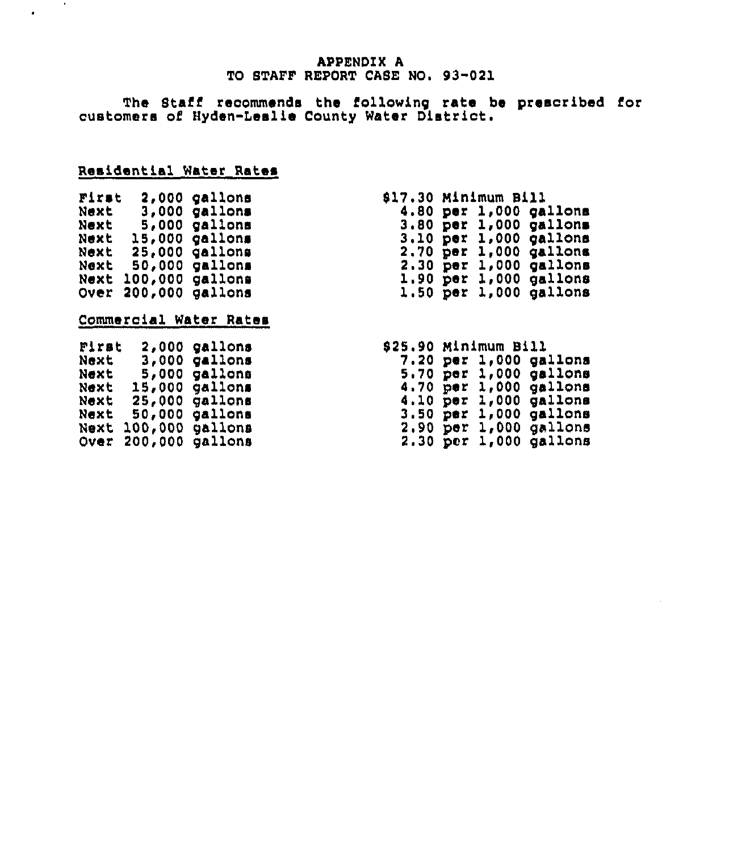# **APPENDIX A** TO STAFF REPORT CASE NO. 93-021

The Staff recommends the following rate be prescribed fo customers oi'yden-Leslie County Water District.

# Residential Water Rates

| First                  |         | 2,000  |       | gallons |  |  |
|------------------------|---------|--------|-------|---------|--|--|
| Next                   |         | 3,000  |       | gallons |  |  |
| Next                   |         | 5,000  |       | gallons |  |  |
| Next                   |         | 15,000 |       | gallons |  |  |
| Next                   |         | 25,000 |       | gallons |  |  |
| Next                   |         | 50,000 |       | gallons |  |  |
| Next                   | 100,000 |        |       | gallons |  |  |
| Over                   | 200,000 |        |       | gallons |  |  |
|                        |         |        |       |         |  |  |
| Commercial Water Rater |         |        |       |         |  |  |
|                        |         |        |       |         |  |  |
| Pirmt                  |         |        | 2,000 | gallons |  |  |
| Next                   |         |        | 3,000 | gallons |  |  |
| Next                   |         |        | 5,000 | gallons |  |  |
|                        |         |        |       |         |  |  |

gallon gallon gallon .<br>9allon gallon

Next 15,000 Next 25,000 Next 50,000 Next 100,000 Over 200,000

 $\sim$ 

 $\bullet$ 

| \$17.30 Minimum Bill |     |       |                   |
|----------------------|-----|-------|-------------------|
| 4.80                 |     |       | per 1,000 gallons |
| 3.80                 |     |       | per 1,000 gallons |
| 3.10                 | per | 1,000 | gallons           |
| 2.70                 | per | 1,000 | gallons           |
| 2.30                 | per | 1,000 | gallons           |
| <b>1.90</b>          | per | 1,000 | gallons           |
| $1.50$ per           |     | 1,000 | gallons           |

# 525.90 minimum Bill

| 7.20 per |     | 1,000        | gallons |
|----------|-----|--------------|---------|
| 5.70     | per | 1,000        | gallons |
| 4.70     | per | <b>1,000</b> | gallons |
| 4.10     | per | 1,000        | gallons |
| 3.50     | りきご | 1,000        | gallons |
| 2,90     | per | 1,000        | gallons |
| 2.30 per |     | 1,000        | gallons |